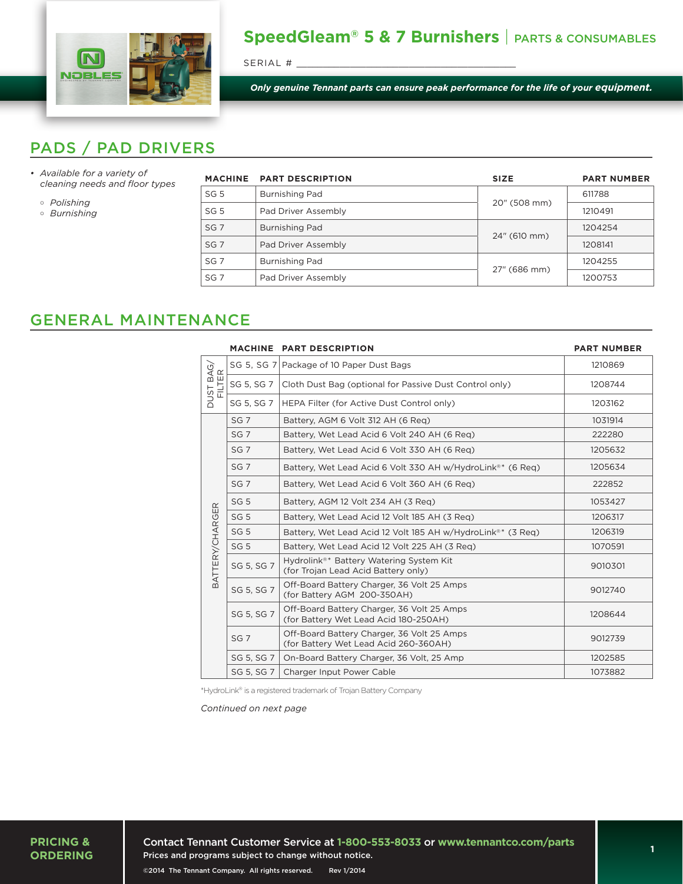

## **SpeedGleam® 5 & 7 Burnishers** | PARTS & CONSUMABLES

SERIAL #

*Only genuine Tennant parts can ensure peak performance for the life of your equipment.*

## PADS / PAD DRIVERS

- *• Available for a variety of cleaning needs and floor types*
	- *Polishing*
	- *Burnishing*

|                 | MACHINE PART DESCRIPTION | <b>SIZE</b>  | <b>PART NUMBER</b> |
|-----------------|--------------------------|--------------|--------------------|
| SG <sub>5</sub> | Burnishing Pad           |              | 611788             |
| SG <sub>5</sub> | Pad Driver Assembly      | 20" (508 mm) | 1210491            |
| SG <sub>7</sub> | Burnishing Pad           |              | 1204254            |
| SG <sub>7</sub> | Pad Driver Assembly      | 24" (610 mm) | 1208141            |
| SG <sub>7</sub> | Burnishing Pad           |              | 1204255            |
| SG <sub>7</sub> | Pad Driver Assembly      | 27" (686 mm) | 1200753            |
|                 |                          |              |                    |

## GENERAL MAINTENANCE

|                            |                 | MACHINE PART DESCRIPTION                                                                   | <b>PART NUMBER</b> |
|----------------------------|-----------------|--------------------------------------------------------------------------------------------|--------------------|
| DUST BAG/<br>FILTER        | SG 5, SG 7      | Package of 10 Paper Dust Bags                                                              | 1210869            |
|                            | SG 5, SG 7      | Cloth Dust Bag (optional for Passive Dust Control only)                                    | 1208744            |
|                            | SG 5, SG 7      | HEPA Filter (for Active Dust Control only)                                                 | 1203162            |
| $\simeq$<br>BATTERY/CHARGE | SG <sub>7</sub> | Battery, AGM 6 Volt 312 AH (6 Reg)                                                         | 1031914            |
|                            | SG <sub>7</sub> | Battery, Wet Lead Acid 6 Volt 240 AH (6 Reg)                                               | 222280             |
|                            | SG <sub>7</sub> | Battery. Wet Lead Acid 6 Volt 330 AH (6 Reg)                                               | 1205632            |
|                            | SG <sub>7</sub> | Battery, Wet Lead Acid 6 Volt 330 AH w/HydroLink <sup>®*</sup> (6 Reg)                     | 1205634            |
|                            | SG <sub>7</sub> | Battery, Wet Lead Acid 6 Volt 360 AH (6 Req)                                               | 222852             |
|                            | SG <sub>5</sub> | Battery, AGM 12 Volt 234 AH (3 Req)                                                        | 1053427            |
|                            | SG <sub>5</sub> | Battery, Wet Lead Acid 12 Volt 185 AH (3 Reg)                                              | 1206317            |
|                            | SG <sub>5</sub> | Battery, Wet Lead Acid 12 Volt 185 AH w/HydroLink®* (3 Reg)                                | 1206319            |
|                            | SG <sub>5</sub> | Battery, Wet Lead Acid 12 Volt 225 AH (3 Req)                                              | 1070591            |
|                            | SG 5, SG 7      | Hydrolink <sup>®*</sup> Battery Watering System Kit<br>(for Trojan Lead Acid Battery only) | 9010301            |
|                            | SG 5, SG 7      | Off-Board Battery Charger, 36 Volt 25 Amps<br>(for Battery AGM 200-350AH)                  | 9012740            |
|                            | SG 5, SG 7      | Off-Board Battery Charger, 36 Volt 25 Amps<br>(for Battery Wet Lead Acid 180-250AH)        | 1208644            |
|                            | SG <sub>7</sub> | Off-Board Battery Charger, 36 Volt 25 Amps<br>(for Battery Wet Lead Acid 260-360AH)        | 9012739            |
|                            | SG 5, SG 7      | On-Board Battery Charger, 36 Volt, 25 Amp                                                  | 1202585            |
|                            | SG 5, SG 7      | Charger Input Power Cable                                                                  | 1073882            |

\*HydroLink® is a registered trademark of Trojan Battery Company

*Continued on next page*

**PRICING & ORDERING** Contact Tennant Customer Service at **1-800-553-8033** or **www.tennantco.com/parts** Prices and programs subject to change without notice. ©2014 The Tennant Company. All rights reserved. Rev 1/2014